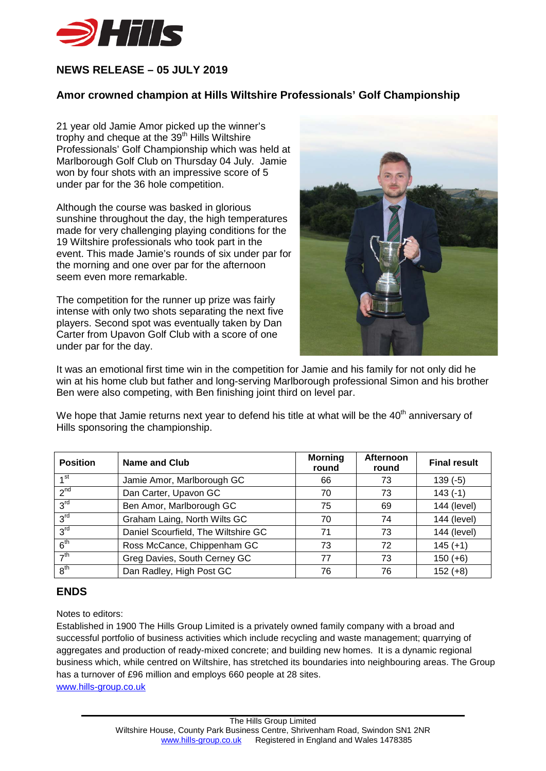

## **NEWS RELEASE – 05 JULY 2019**

## **Amor crowned champion at Hills Wiltshire Professionals' Golf Championship**

21 year old Jamie Amor picked up the winner's trophy and cheque at the  $39<sup>th</sup>$  Hills Wiltshire Professionals' Golf Championship which was held at Marlborough Golf Club on Thursday 04 July. Jamie won by four shots with an impressive score of 5 under par for the 36 hole competition.

Although the course was basked in glorious sunshine throughout the day, the high temperatures made for very challenging playing conditions for the 19 Wiltshire professionals who took part in the event. This made Jamie's rounds of six under par for the morning and one over par for the afternoon seem even more remarkable.

The competition for the runner up prize was fairly intense with only two shots separating the next five players. Second spot was eventually taken by Dan Carter from Upavon Golf Club with a score of one under par for the day.



It was an emotional first time win in the competition for Jamie and his family for not only did he win at his home club but father and long-serving Marlborough professional Simon and his brother Ben were also competing, with Ben finishing joint third on level par.

| <b>Position</b>             | <b>Name and Club</b>                | <b>Morning</b><br>round | Afternoon<br>round | <b>Final result</b> |
|-----------------------------|-------------------------------------|-------------------------|--------------------|---------------------|
| 1 <sub>st</sub>             | Jamie Amor, Marlborough GC          | 66                      | 73                 | $139(-5)$           |
| $2^{nd}$                    | Dan Carter, Upavon GC               | 70                      | 73                 | $143(-1)$           |
| 3 <sup>rd</sup>             | Ben Amor, Marlborough GC            | 75                      | 69                 | 144 (level)         |
| 3 <sup>rd</sup>             | Graham Laing, North Wilts GC        | 70                      | 74                 | 144 (level)         |
| 3 <sup>rd</sup>             | Daniel Scourfield, The Wiltshire GC | 71                      | 73                 | 144 (level)         |
| 6 <sup>th</sup>             | Ross McCance, Chippenham GC         | 73                      | 72                 | $145 (+1)$          |
| $\rightarrow$ <sup>th</sup> | Greg Davies, South Cerney GC        | 77                      | 73                 | $150 (+6)$          |
| 8 <sup>th</sup>             | Dan Radley, High Post GC            | 76                      | 76                 | $152(+8)$           |

We hope that Jamie returns next year to defend his title at what will be the  $40<sup>th</sup>$  anniversary of Hills sponsoring the championship.

## **ENDS**

Notes to editors:

Established in 1900 The Hills Group Limited is a privately owned family company with a broad and successful portfolio of business activities which include recycling and waste management; quarrying of aggregates and production of ready-mixed concrete; and building new homes. It is a dynamic regional business which, while centred on Wiltshire, has stretched its boundaries into neighbouring areas. The Group has a turnover of £96 million and employs 660 people at 28 sites. [www.hills-group.co.uk](http://www.hills-group.co.uk/)